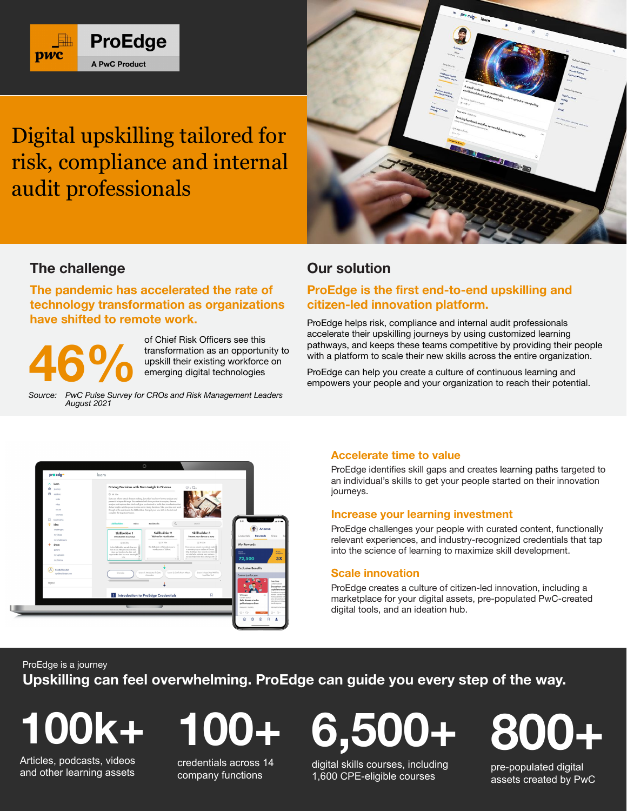

Digital upskilling tailored for risk, compliance and internal audit professionals



# **The challenge**

**The pandemic has accelerated the rate of technology transformation as organizations have shifted to remote work.**



of Chief Risk Officers see this transformation as an opportunity to upskill their existing workforce on emerging digital technologies

*Source: PwC Pulse Survey for CROs and Risk Management Leaders August 2021*

## **Our solution**

## **ProEdge is the first end-to-end upskilling and citizen-led innovation platform.**

ProEdge helps risk, compliance and internal audit professionals accelerate their upskilling journeys by using customized learning pathways, and keeps these teams competitive by providing their people with a platform to scale their new skills across the entire organization.

ProEdge can help you create a culture of continuous learning and empowers your people and your organization to reach their potential.



## **Accelerate time to value**

ProEdge identifies skill gaps and creates learning paths targeted to an individual's skills to get your people started on their innovation journeys.

#### **Increase your learning investment**

ProEdge challenges your people with curated content, functionally relevant experiences, and industry-recognized credentials that tap into the science of learning to maximize skill development.

#### **Scale innovation**

ProEdge creates a culture of citizen-led innovation, including a marketplace for your digital assets, pre-populated PwC-created digital tools, and an ideation hub.

ProEdge is a journey

**Upskilling can feel overwhelming. ProEdge can guide you every step of the way.**

**100k+**

Articles, podcasts, videos and other learning assets **100+**

credentials across 14 company functions

digital skills courses, including 1,600 CPE-eligible courses

**6,500+**

**800+**

pre-populated digital assets created by PwC